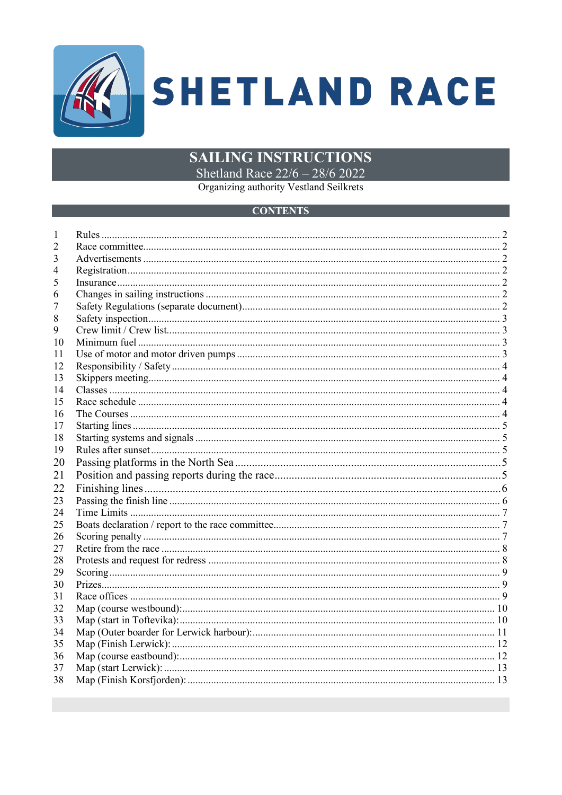

# **SAILING INSTRUCTIONS**

Shetland Race 22/6 - 28/6 2022

Organizing authority Vestland Seilkrets

#### **CONTENTS**

| 2  |  |
|----|--|
| 3  |  |
| 4  |  |
| 5  |  |
| 6  |  |
|    |  |
| 8  |  |
| 9  |  |
| 10 |  |
| 11 |  |
| 12 |  |
| 13 |  |
| 14 |  |
| 15 |  |
| 16 |  |
| 17 |  |
| 18 |  |
| 19 |  |
| 20 |  |
| 21 |  |
| 22 |  |
| 23 |  |
| 24 |  |
| 25 |  |
| 26 |  |
| 27 |  |
| 28 |  |
| 29 |  |
| 30 |  |
| 31 |  |
| 32 |  |
| 33 |  |
| 34 |  |
| 35 |  |
| 36 |  |
| 37 |  |
| 38 |  |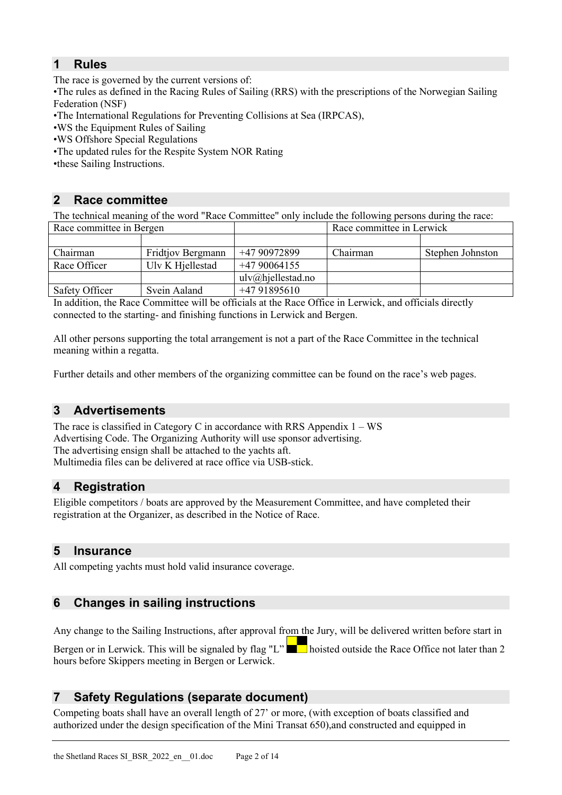# <span id="page-1-0"></span>**1 Rules**

The race is governed by the current versions of:

•The rules as defined in the Racing Rules of Sailing (RRS) with the prescriptions of the Norwegian Sailing Federation (NSF)

- •The International Regulations for Preventing Collisions at Sea (IRPCAS),
- •WS the Equipment Rules of Sailing
- •WS Offshore Special Regulations
- •The updated rules for the Respite System NOR Rating
- •these Sailing Instructions.

# <span id="page-1-1"></span>**2 Race committee**

The technical meaning of the word "Race Committee" only include the following persons during the race:

| Race committee in Bergen |                   |                             | Race committee in Lerwick |                  |
|--------------------------|-------------------|-----------------------------|---------------------------|------------------|
|                          |                   |                             |                           |                  |
| Chairman                 | Fridtjov Bergmann | +47 90972899                | Chairman                  | Stephen Johnston |
| Race Officer             | Ulv K Hjellestad  | $+4790064155$               |                           |                  |
|                          |                   | $ulv(\omega)$ hjellestad.no |                           |                  |
| Safety Officer           | Svein Aaland      | $+4791895610$               |                           |                  |

In addition, the Race Committee will be officials at the Race Office in Lerwick, and officials directly connected to the starting- and finishing functions in Lerwick and Bergen.

All other persons supporting the total arrangement is not a part of the Race Committee in the technical meaning within a regatta.

Further details and other members of the organizing committee can be found on the race's web pages.

# <span id="page-1-2"></span>**3 Advertisements**

The race is classified in Category C in accordance with RRS Appendix  $1 - WS$ Advertising Code. The Organizing Authority will use sponsor advertising. The advertising ensign shall be attached to the yachts aft. Multimedia files can be delivered at race office via USB-stick.

# <span id="page-1-3"></span>**4 Registration**

Eligible competitors / boats are approved by the Measurement Committee, and have completed their registration at the Organizer, as described in the Notice of Race.

#### <span id="page-1-4"></span>**5 Insurance**

All competing yachts must hold valid insurance coverage.

# <span id="page-1-5"></span>**6 Changes in sailing instructions**

Any change to the Sailing Instructions, after approval from the Jury, will be delivered written before start in Bergen or in Lerwick. This will be signaled by flag "L" boisted outside the Race Office not later than 2 hours before Skippers meeting in Bergen or Lerwick.

# <span id="page-1-6"></span>**7 Safety Regulations (separate document)**

Competing boats shall have an overall length of 27' or more, (with exception of boats classified and authorized under the design specification of the Mini Transat 650),and constructed and equipped in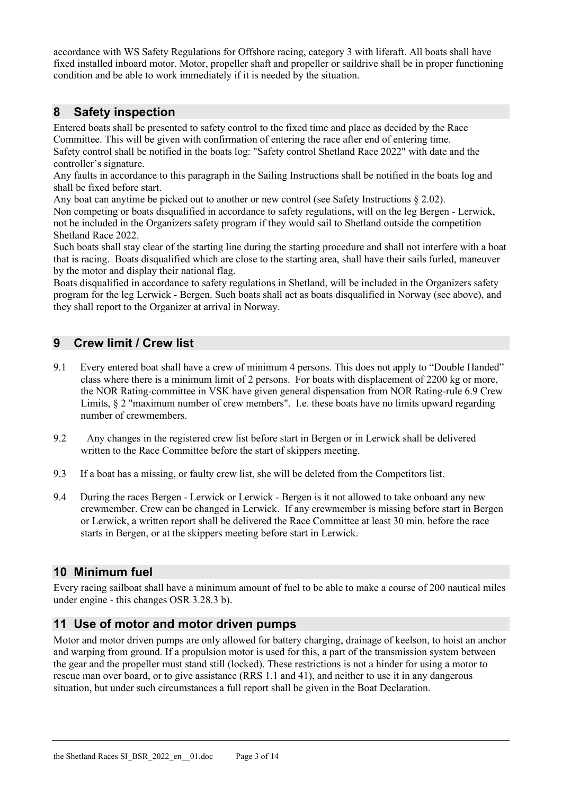accordance with WS Safety Regulations for Offshore racing, category 3 with liferaft. All boats shall have fixed installed inboard motor. Motor, propeller shaft and propeller or saildrive shall be in proper functioning condition and be able to work immediately if it is needed by the situation.

# <span id="page-2-0"></span>**8 Safety inspection**

Entered boats shall be presented to safety control to the fixed time and place as decided by the Race Committee. This will be given with confirmation of entering the race after end of entering time. Safety control shall be notified in the boats log: "Safety control Shetland Race 2022" with date and the controller's signature.

Any faults in accordance to this paragraph in the Sailing Instructions shall be notified in the boats log and shall be fixed before start.

Any boat can anytime be picked out to another or new control (see Safety Instructions § 2.02). Non competing or boats disqualified in accordance to safety regulations, will on the leg Bergen - Lerwick, not be included in the Organizers safety program if they would sail to Shetland outside the competition Shetland Race 2022.

Such boats shall stay clear of the starting line during the starting procedure and shall not interfere with a boat that is racing. Boats disqualified which are close to the starting area, shall have their sails furled, maneuver by the motor and display their national flag.

Boats disqualified in accordance to safety regulations in Shetland, will be included in the Organizers safety program for the leg Lerwick - Bergen. Such boats shall act as boats disqualified in Norway (see above), and they shall report to the Organizer at arrival in Norway.

# <span id="page-2-1"></span>**9 Crew limit / Crew list**

- 9.1 Every entered boat shall have a crew of minimum 4 persons. This does not apply to "Double Handed" class where there is a minimum limit of 2 persons. For boats with displacement of 2200 kg or more, the NOR Rating-committee in VSK have given general dispensation from NOR Rating-rule 6.9 Crew Limits, § 2 "maximum number of crew members". I.e. these boats have no limits upward regarding number of crewmembers.
- 9.2 Any changes in the registered crew list before start in Bergen or in Lerwick shall be delivered written to the Race Committee before the start of skippers meeting.
- 9.3 If a boat has a missing, or faulty crew list, she will be deleted from the Competitors list.
- 9.4 During the races Bergen Lerwick or Lerwick Bergen is it not allowed to take onboard any new crewmember. Crew can be changed in Lerwick. If any crewmember is missing before start in Bergen or Lerwick, a written report shall be delivered the Race Committee at least 30 min. before the race starts in Bergen, or at the skippers meeting before start in Lerwick.

#### <span id="page-2-2"></span>**10 Minimum fuel**

Every racing sailboat shall have a minimum amount of fuel to be able to make a course of 200 nautical miles under engine - this changes OSR 3.28.3 b).

# <span id="page-2-3"></span>**11 Use of motor and motor driven pumps**

Motor and motor driven pumps are only allowed for battery charging, drainage of keelson, to hoist an anchor and warping from ground. If a propulsion motor is used for this, a part of the transmission system between the gear and the propeller must stand still (locked). These restrictions is not a hinder for using a motor to rescue man over board, or to give assistance (RRS 1.1 and 41), and neither to use it in any dangerous situation, but under such circumstances a full report shall be given in the Boat Declaration.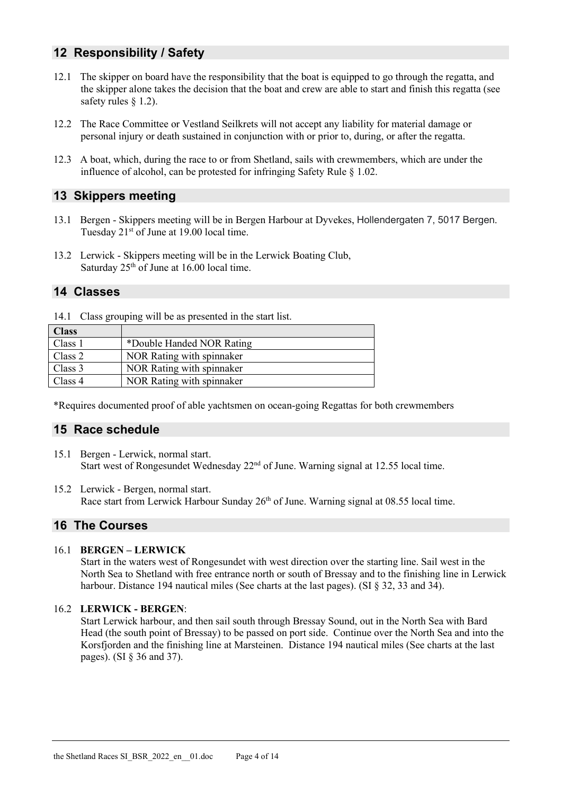# <span id="page-3-0"></span>**12 Responsibility / Safety**

- 12.1 The skipper on board have the responsibility that the boat is equipped to go through the regatta, and the skipper alone takes the decision that the boat and crew are able to start and finish this regatta (see safety rules § 1.2).
- 12.2 The Race Committee or Vestland Seilkrets will not accept any liability for material damage or personal injury or death sustained in conjunction with or prior to, during, or after the regatta.
- 12.3 A boat, which, during the race to or from Shetland, sails with crewmembers, which are under the influence of alcohol, can be protested for infringing Safety Rule § 1.02.

#### <span id="page-3-1"></span>**13 Skippers meeting**

- 13.1 Bergen Skippers meeting will be in Bergen Harbour at Dyvekes, Hollendergaten 7, 5017 Bergen. Tuesday  $21<sup>st</sup>$  of June at 19.00 local time.
- 13.2 Lerwick Skippers meeting will be in the Lerwick Boating Club, Saturday  $25<sup>th</sup>$  of June at 16.00 local time.

#### <span id="page-3-2"></span>**14 Classes**

14.1 Class grouping will be as presented in the start list.

| <b>Class</b> |                           |
|--------------|---------------------------|
| Class 1      | *Double Handed NOR Rating |
| Class 2      | NOR Rating with spinnaker |
| Class 3      | NOR Rating with spinnaker |
| Class 4      | NOR Rating with spinnaker |

<span id="page-3-3"></span>\*Requires documented proof of able yachtsmen on ocean-going Regattas for both crewmembers

#### **15 Race schedule**

- 15.1 Bergen Lerwick, normal start. Start west of Rongesundet Wednesday 22nd of June. Warning signal at 12.55 local time.
- 15.2 Lerwick Bergen, normal start. Race start from Lerwick Harbour Sunday  $26<sup>th</sup>$  of June. Warning signal at 08.55 local time.

#### <span id="page-3-4"></span>**16 The Courses**

#### 16.1 **BERGEN – LERWICK**

Start in the waters west of Rongesundet with west direction over the starting line. Sail west in the North Sea to Shetland with free entrance north or south of Bressay and to the finishing line in Lerwick harbour. Distance 194 nautical miles (See charts at the last pages). (SI  $\S$  32, 33 and 34).

#### 16.2 **LERWICK - BERGEN**:

Start Lerwick harbour, and then sail south through Bressay Sound, out in the North Sea with Bard Head (the south point of Bressay) to be passed on port side. Continue over the North Sea and into the Korsfjorden and the finishing line at Marsteinen. Distance 194 nautical miles (See charts at the last pages). (SI § 36 and 37).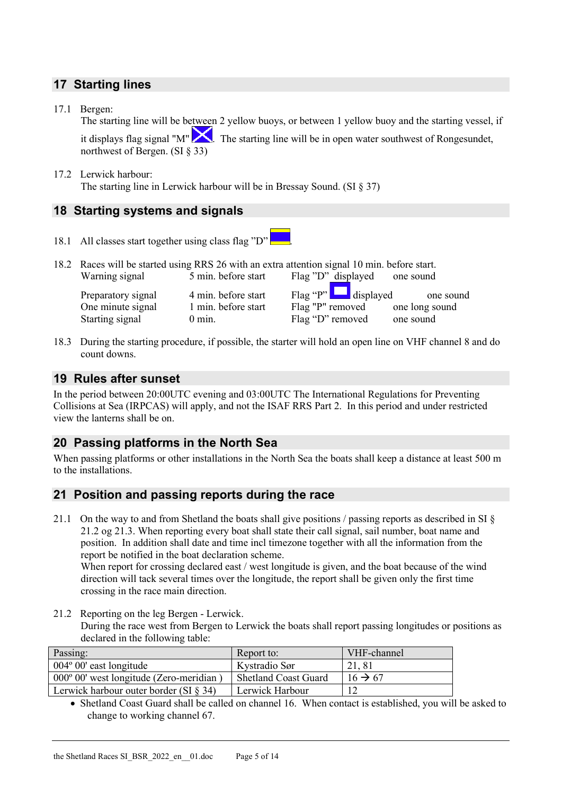# <span id="page-4-0"></span>**17 Starting lines**

17.1 Bergen:

The starting line will be between 2 yellow buoys, or between 1 yellow buoy and the starting vessel, if it displays flag signal "M"  $\sum$ . The starting line will be in open water southwest of Rongesundet, northwest of Bergen. (SI § 33)

#### 17.2 Lerwick harbour: The starting line in Lerwick harbour will be in Bressay Sound. (SI § 37)

# <span id="page-4-1"></span>**18 Starting systems and signals**

- 18.1 All classes start together using class flag "D" .
- 18.2 Races will be started using RRS 26 with an extra attention signal 10 min. before start.<br>Warning signal 5 min. before start Flag "D" displayed one sound Flag "D" displayed one sound

Preparatory signal 4 min. before start Flag "P" displayed one sound One minute signal 1 min. before start Flag "P" removed one long sound Starting signal 0 min. Flag "D" removed one sound

18.3 During the starting procedure, if possible, the starter will hold an open line on VHF channel 8 and do count downs.

#### <span id="page-4-2"></span>**19 Rules after sunset**

In the period between 20:00UTC evening and 03:00UTC The International Regulations for Preventing Collisions at Sea (IRPCAS) will apply, and not the ISAF RRS Part 2. In this period and under restricted view the lanterns shall be on.

# <span id="page-4-3"></span>**20 Passing platforms in the North Sea**

When passing platforms or other installations in the North Sea the boats shall keep a distance at least 500 m to the installations.

#### **21 Position and passing reports during the race**

21.1 On the way to and from Shetland the boats shall give positions / passing reports as described in SI § 21.2 og 21.3. When reporting every boat shall state their call signal, sail number, boat name and position. In addition shall date and time incl timezone together with all the information from the report be notified in the boat declaration scheme.

When report for crossing declared east / west longitude is given, and the boat because of the wind direction will tack several times over the longitude, the report shall be given only the first time crossing in the race main direction.

21.2 Reporting on the leg Bergen - Lerwick.

During the race west from Bergen to Lerwick the boats shall report passing longitudes or positions as declared in the following table:

| Passing:                                         | Report to:                  | VHF-channel         |
|--------------------------------------------------|-----------------------------|---------------------|
| $004^{\circ} 00'$ east longitude                 | Kystradio Sør               | 21,81               |
| $000^{\circ}$ 00' west longitude (Zero-meridian) | <b>Shetland Coast Guard</b> | $16 \rightarrow 67$ |
| Lerwick harbour outer border (SI $\S$ 34)        | Lerwick Harbour             | 12                  |

• Shetland Coast Guard shall be called on channel 16. When contact is established, you will be asked to change to working channel 67.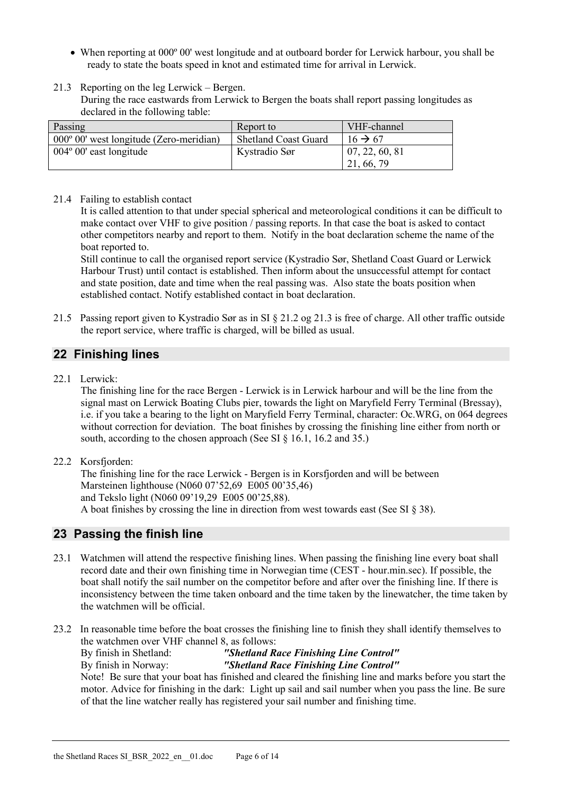- When reporting at 000<sup>°</sup> 00' west longitude and at outboard border for Lerwick harbour, you shall be ready to state the boats speed in knot and estimated time for arrival in Lerwick.
- 21.3 Reporting on the leg Lerwick Bergen.

During the race eastwards from Lerwick to Bergen the boats shall report passing longitudes as declared in the following table:

| Passing                                          | Report to                   | VHF-channel         |
|--------------------------------------------------|-----------------------------|---------------------|
| $000^{\circ}$ 00' west longitude (Zero-meridian) | <b>Shetland Coast Guard</b> | $16 \rightarrow 67$ |
| $004^{\circ}$ 00' east longitude                 | Kystradio Sør               | 07, 22, 60, 81      |
|                                                  |                             | 21, 66, 79          |

21.4 Failing to establish contact

It is called attention to that under special spherical and meteorological conditions it can be difficult to make contact over VHF to give position / passing reports. In that case the boat is asked to contact other competitors nearby and report to them. Notify in the boat declaration scheme the name of the boat reported to.

Still continue to call the organised report service (Kystradio Sør, Shetland Coast Guard or Lerwick Harbour Trust) until contact is established. Then inform about the unsuccessful attempt for contact and state position, date and time when the real passing was. Also state the boats position when established contact. Notify established contact in boat declaration.

21.5 Passing report given to Kystradio Sør as in SI § 21.2 og 21.3 is free of charge. All other traffic outside the report service, where traffic is charged, will be billed as usual.

# <span id="page-5-0"></span>**22 Finishing lines**

22.1 Lerwick:

The finishing line for the race Bergen - Lerwick is in Lerwick harbour and will be the line from the signal mast on Lerwick Boating Clubs pier, towards the light on Maryfield Ferry Terminal (Bressay), i.e. if you take a bearing to the light on Maryfield Ferry Terminal, character: Oc.WRG, on 064 degrees without correction for deviation. The boat finishes by crossing the finishing line either from north or south, according to the chosen approach (See SI § 16.1, 16.2 and 35.)

22.2 Korsfjorden:

The finishing line for the race Lerwick - Bergen is in Korsfjorden and will be between Marsteinen lighthouse (N060 07'52,69 E005 00'35,46) and Tekslo light (N060 09'19,29 E005 00'25,88). A boat finishes by crossing the line in direction from west towards east (See SI § 38).

# <span id="page-5-1"></span>**23 Passing the finish line**

- 23.1 Watchmen will attend the respective finishing lines. When passing the finishing line every boat shall record date and their own finishing time in Norwegian time (CEST - hour.min.sec). If possible, the boat shall notify the sail number on the competitor before and after over the finishing line. If there is inconsistency between the time taken onboard and the time taken by the linewatcher, the time taken by the watchmen will be official.
- 23.2 In reasonable time before the boat crosses the finishing line to finish they shall identify themselves to the watchmen over VHF channel 8, as follows: By finish in Shetland: *"Shetland Race Finishing Line Control"* By finish in Norway: *"Shetland Race Finishing Line Control"* Note! Be sure that your boat has finished and cleared the finishing line and marks before you start the motor. Advice for finishing in the dark: Light up sail and sail number when you pass the line. Be sure of that the line watcher really has registered your sail number and finishing time.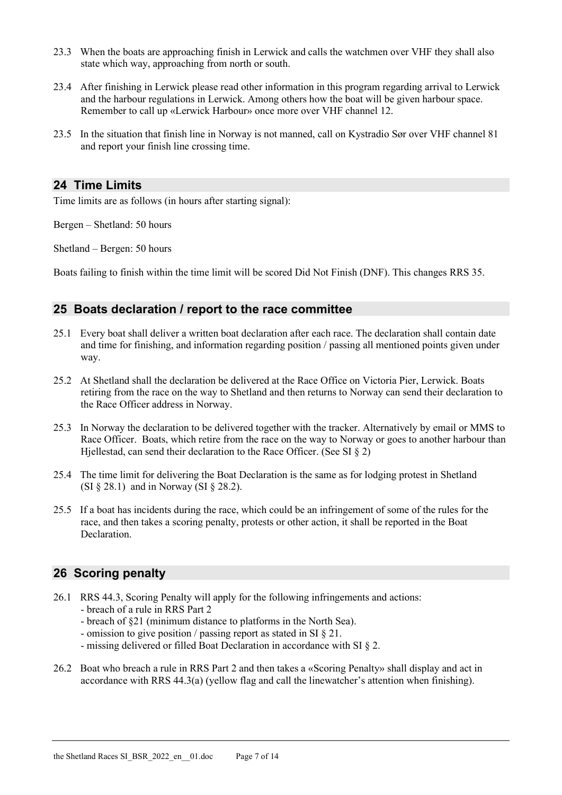- 23.3 When the boats are approaching finish in Lerwick and calls the watchmen over VHF they shall also state which way, approaching from north or south.
- 23.4 After finishing in Lerwick please read other information in this program regarding arrival to Lerwick and the harbour regulations in Lerwick. Among others how the boat will be given harbour space. Remember to call up «Lerwick Harbour» once more over VHF channel 12.
- 23.5 In the situation that finish line in Norway is not manned, call on Kystradio Sør over VHF channel 81 and report your finish line crossing time.

#### <span id="page-6-0"></span>**24 Time Limits**

Time limits are as follows (in hours after starting signal):

Bergen – Shetland: 50 hours

Shetland – Bergen: 50 hours

Boats failing to finish within the time limit will be scored Did Not Finish (DNF). This changes RRS 35.

#### <span id="page-6-1"></span>**25 Boats declaration / report to the race committee**

- 25.1 Every boat shall deliver a written boat declaration after each race. The declaration shall contain date and time for finishing, and information regarding position / passing all mentioned points given under way.
- 25.2 At Shetland shall the declaration be delivered at the Race Office on Victoria Pier, Lerwick. Boats retiring from the race on the way to Shetland and then returns to Norway can send their declaration to the Race Officer address in Norway.
- 25.3 In Norway the declaration to be delivered together with the tracker. Alternatively by email or MMS to Race Officer. Boats, which retire from the race on the way to Norway or goes to another harbour than Hjellestad, can send their declaration to the Race Officer. (See SI § 2)
- 25.4 The time limit for delivering the Boat Declaration is the same as for lodging protest in Shetland (SI § 28.1) and in Norway (SI § 28.2).
- 25.5 If a boat has incidents during the race, which could be an infringement of some of the rules for the race, and then takes a scoring penalty, protests or other action, it shall be reported in the Boat Declaration.

#### <span id="page-6-2"></span>**26 Scoring penalty**

- 26.1 RRS 44.3, Scoring Penalty will apply for the following infringements and actions: - breach of a rule in RRS Part 2
	- breach of §21 (minimum distance to platforms in the North Sea).
	- omission to give position / passing report as stated in SI § 21.
	- missing delivered or filled Boat Declaration in accordance with SI § 2.
- 26.2 Boat who breach a rule in RRS Part 2 and then takes a «Scoring Penalty» shall display and act in accordance with RRS 44.3(a) (yellow flag and call the linewatcher's attention when finishing).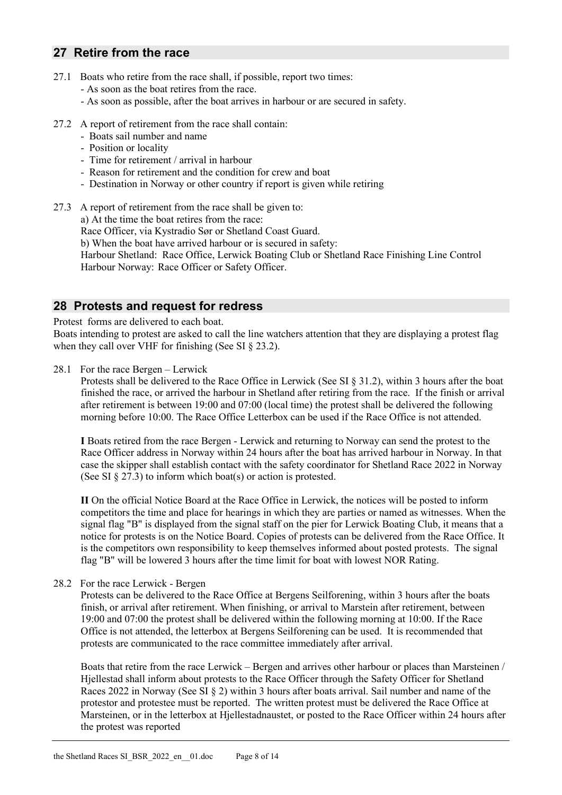#### <span id="page-7-0"></span>**27 Retire from the race**

- 27.1 Boats who retire from the race shall, if possible, report two times:
	- As soon as the boat retires from the race.
	- As soon as possible, after the boat arrives in harbour or are secured in safety.
- 27.2 A report of retirement from the race shall contain:
	- Boats sail number and name
	- Position or locality
	- Time for retirement / arrival in harbour
	- Reason for retirement and the condition for crew and boat
	- Destination in Norway or other country if report is given while retiring
- <span id="page-7-2"></span>27.3 A report of retirement from the race shall be given to: a) At the time the boat retires from the race: Race Officer, via Kystradio Sør or Shetland Coast Guard.

b) When the boat have arrived harbour or is secured in safety:

Harbour Shetland: Race Office, Lerwick Boating Club or Shetland Race Finishing Line Control Harbour Norway: Race Officer or Safety Officer.

#### <span id="page-7-1"></span>**28 Protests and request for redress**

Protest forms are delivered to each boat.

Boats intending to protest are asked to call the line watchers attention that they are displaying a protest flag when they call over VHF for finishing (See SI § 23.2).

28.1 For the race Bergen – Lerwick

Protests shall be delivered to the Race Office in Lerwick (See SI § [31.2\)](#page-8-3), within 3 hours after the boat finished the race, or arrived the harbour in Shetland after retiring from the race. If the finish or arrival after retirement is between 19:00 and 07:00 (local time) the protest shall be delivered the following morning before 10:00. The Race Office Letterbox can be used if the Race Office is not attended.

**I** Boats retired from the race Bergen - Lerwick and returning to Norway can send the protest to the Race Officer address in Norway within 24 hours after the boat has arrived harbour in Norway. In that case the skipper shall establish contact with the safety coordinator for Shetland Race 2022 in Norway (See SI [§ 27.3\)](#page-7-2) to inform which boat(s) or action is protested.

**II** On the official Notice Board at the Race Office in Lerwick, the notices will be posted to inform competitors the time and place for hearings in which they are parties or named as witnesses. When the signal flag "B" is displayed from the signal staff on the pier for Lerwick Boating Club, it means that a notice for protests is on the Notice Board. Copies of protests can be delivered from the Race Office. It is the competitors own responsibility to keep themselves informed about posted protests. The signal flag "B" will be lowered 3 hours after the time limit for boat with lowest NOR Rating.

28.2 For the race Lerwick - Bergen

Protests can be delivered to the Race Office at Bergens Seilforening, within 3 hours after the boats finish, or arrival after retirement. When finishing, or arrival to Marstein after retirement, between 19:00 and 07:00 the protest shall be delivered within the following morning at 10:00. If the Race Office is not attended, the letterbox at Bergens Seilforening can be used. It is recommended that protests are communicated to the race committee immediately after arrival.

Boats that retire from the race Lerwick – Bergen and arrives other harbour or places than Marsteinen / Hjellestad shall inform about protests to the Race Officer through the Safety Officer for Shetland Races 2022 in Norway (See SI § 2) within 3 hours after boats arrival. Sail number and name of the protestor and protestee must be reported. The written protest must be delivered the Race Office at Marsteinen, or in the letterbox at Hjellestadnaustet, or posted to the Race Officer within 24 hours after the protest was reported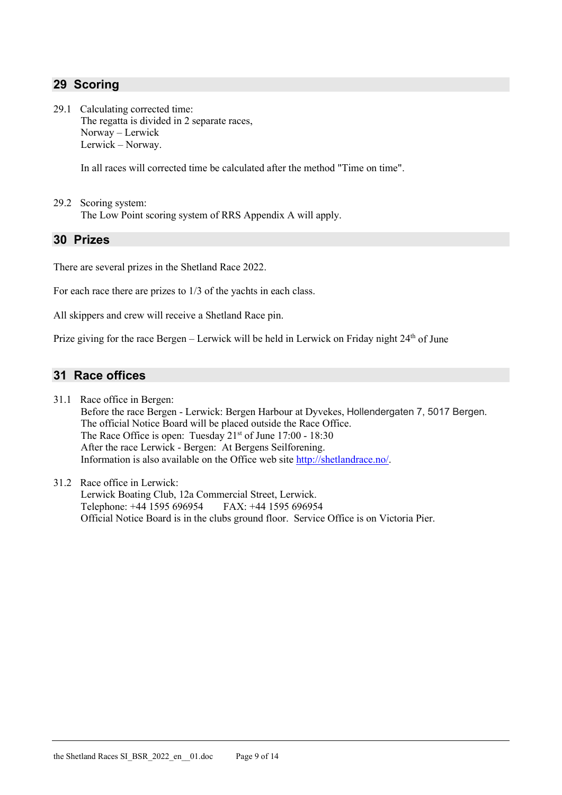# <span id="page-8-0"></span>**29 Scoring**

29.1 Calculating corrected time: The regatta is divided in 2 separate races, Norway – Lerwick Lerwick – Norway.

In all races will corrected time be calculated after the method "Time on time".

29.2 Scoring system: The Low Point scoring system of RRS Appendix A will apply.

#### <span id="page-8-1"></span>**30 Prizes**

There are several prizes in the Shetland Race 2022.

For each race there are prizes to 1/3 of the yachts in each class.

All skippers and crew will receive a Shetland Race pin.

Prize giving for the race Bergen - Lerwick will be held in Lerwick on Friday night 24<sup>th</sup> of June

#### <span id="page-8-2"></span>**31 Race offices**

- 31.1 Race office in Bergen: Before the race Bergen - Lerwick: Bergen Harbour at Dyvekes, Hollendergaten 7, 5017 Bergen. The official Notice Board will be placed outside the Race Office. The Race Office is open: Tuesday 21<sup>st</sup> of June 17:00 - 18:30 After the race Lerwick - Bergen: At Bergens Seilforening. Information is also available on the Office web site [http://shetlandrace.no/.](http://shetlandrace.no/)
- <span id="page-8-3"></span>31.2 Race office in Lerwick: Lerwick Boating Club, 12a Commercial Street, Lerwick. Telephone: +44 1595 696954 FAX: +44 1595 696954 Official Notice Board is in the clubs ground floor. Service Office is on Victoria Pier.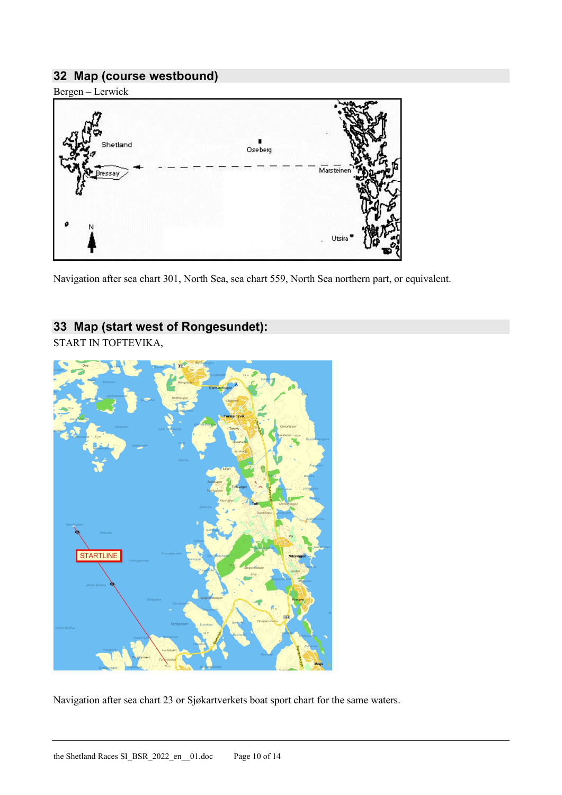# <span id="page-9-0"></span>**32 Map (course westbound)**

Bergen – Lerwick



Navigation after sea chart 301, North Sea, sea chart 559, North Sea northern part, or equivalent.

# <span id="page-9-1"></span>**33 Map (start west of Rongesundet):**

START IN TOFTEVIKA,



Navigation after sea chart 23 or Sjøkartverkets boat sport chart for the same waters.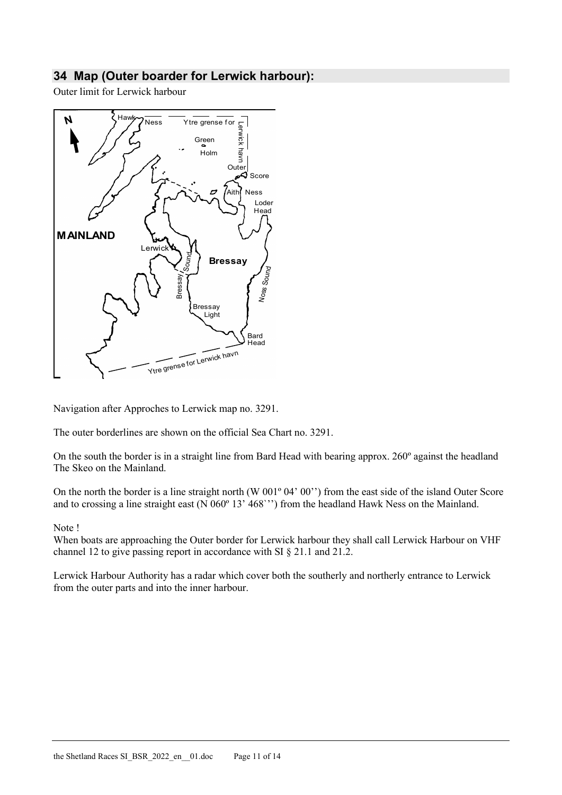# <span id="page-10-0"></span>**34 Map (Outer boarder for Lerwick harbour):**

Outer limit for Lerwick harbour



Navigation after Approches to Lerwick map no. 3291.

The outer borderlines are shown on the official Sea Chart no. 3291.

On the south the border is in a straight line from Bard Head with bearing approx. 260º against the headland The Skeo on the Mainland.

On the north the border is a line straight north (W 001º 04' 00'') from the east side of the island Outer Score and to crossing a line straight east (N 060º 13' 468`'') from the headland Hawk Ness on the Mainland.

#### Note !

When boats are approaching the Outer border for Lerwick harbour they shall call Lerwick Harbour on VHF channel 12 to give passing report in accordance with SI § 21.1 and 21.2.

Lerwick Harbour Authority has a radar which cover both the southerly and northerly entrance to Lerwick from the outer parts and into the inner harbour.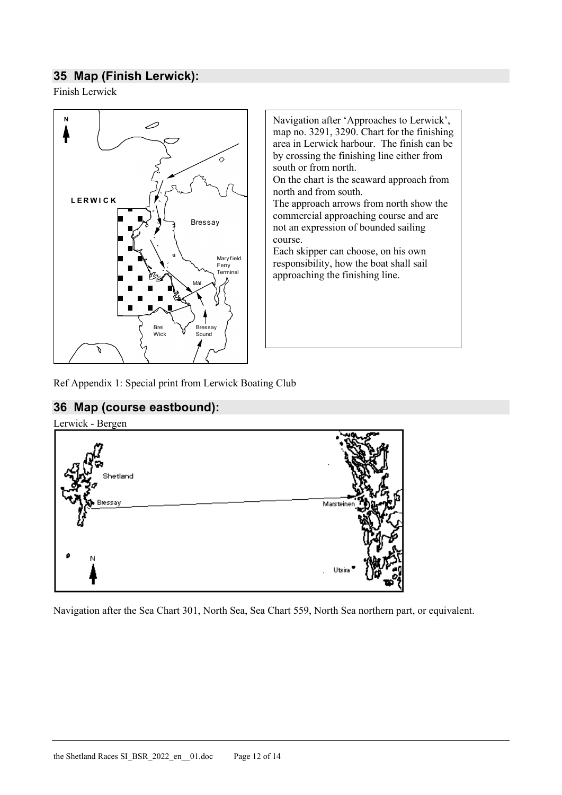# <span id="page-11-0"></span>**35 Map (Finish Lerwick):**

Finish Lerwick



Navigation after 'Approaches to Lerwick', map no. 3291, 3290. Chart for the finishing area in Lerwick harbour. The finish can be by crossing the finishing line either from south or from north.

On the chart is the seaward approach from north and from south.

The approach arrows from north show the commercial approaching course and are not an expression of bounded sailing course.

Each skipper can choose, on his own responsibility, how the boat shall sail approaching the finishing line.

<span id="page-11-1"></span>Ref Appendix 1: Special print from Lerwick Boating Club

# **36 Map (course eastbound):**



Navigation after the Sea Chart 301, North Sea, Sea Chart 559, North Sea northern part, or equivalent.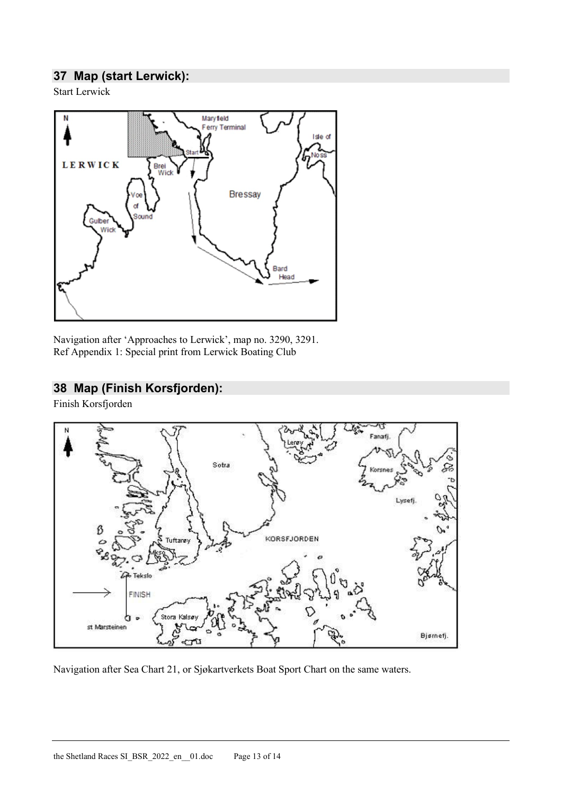# <span id="page-12-0"></span>**37 Map (start Lerwick):**

Start Lerwick



Navigation after 'Approaches to Lerwick', map no. 3290, 3291. Ref Appendix 1: Special print from Lerwick Boating Club

#### <span id="page-12-1"></span>**38 Map (Finish Korsfjorden):**

Finish Korsfjorden



Navigation after Sea Chart 21, or Sjøkartverkets Boat Sport Chart on the same waters.